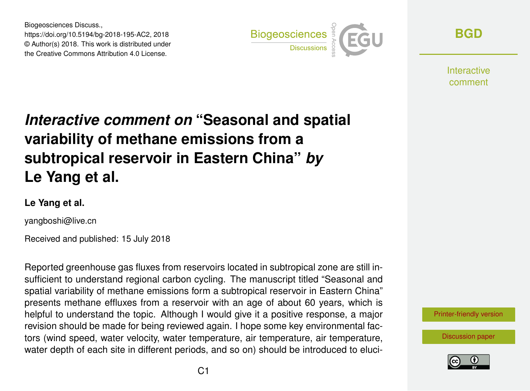Biogeosciences Discuss., https://doi.org/10.5194/bg-2018-195-AC2, 2018 © Author(s) 2018. This work is distributed under the Creative Commons Attribution 4.0 License.



**[BGD](https://www.biogeosciences-discuss.net/)**

Interactive comment

## *Interactive comment on* **"Seasonal and spatial variability of methane emissions from a subtropical reservoir in Eastern China"** *by* **Le Yang et al.**

## **Le Yang et al.**

yangboshi@live.cn

Received and published: 15 July 2018

Reported greenhouse gas fluxes from reservoirs located in subtropical zone are still insufficient to understand regional carbon cycling. The manuscript titled "Seasonal and spatial variability of methane emissions form a subtropical reservoir in Eastern China" presents methane effluxes from a reservoir with an age of about 60 years, which is helpful to understand the topic. Although I would give it a positive response, a major revision should be made for being reviewed again. I hope some key environmental factors (wind speed, water velocity, water temperature, air temperature, air temperature, water depth of each site in different periods, and so on) should be introduced to eluci-

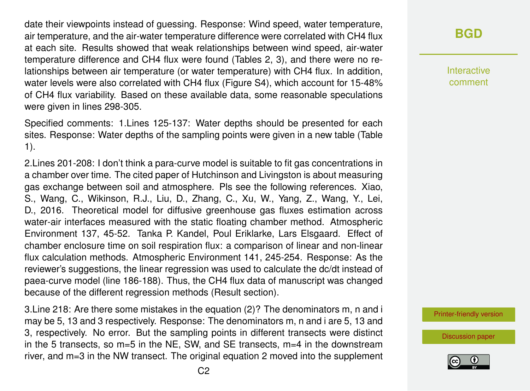date their viewpoints instead of guessing. Response: Wind speed, water temperature, air temperature, and the air-water temperature difference were correlated with CH4 flux at each site. Results showed that weak relationships between wind speed, air-water temperature difference and CH4 flux were found (Tables 2, 3), and there were no relationships between air temperature (or water temperature) with CH4 flux. In addition, water levels were also correlated with CH4 flux (Figure S4), which account for 15-48% of CH4 flux variability. Based on these available data, some reasonable speculations were given in lines 298-305.

Specified comments: 1.Lines 125-137: Water depths should be presented for each sites. Response: Water depths of the sampling points were given in a new table (Table 1).

2.Lines 201-208: I don't think a para-curve model is suitable to fit gas concentrations in a chamber over time. The cited paper of Hutchinson and Livingston is about measuring gas exchange between soil and atmosphere. Pls see the following references. Xiao, S., Wang, C., Wikinson, R.J., Liu, D., Zhang, C., Xu, W., Yang, Z., Wang, Y., Lei, D., 2016. Theoretical model for diffusive greenhouse gas fluxes estimation across water-air interfaces measured with the static floating chamber method. Atmospheric Environment 137, 45-52. Tanka P. Kandel, Poul Eriklarke, Lars Elsgaard. Effect of chamber enclosure time on soil respiration flux: a comparison of linear and non-linear flux calculation methods. Atmospheric Environment 141, 245-254. Response: As the reviewer's suggestions, the linear regression was used to calculate the dc/dt instead of paea-curve model (line 186-188). Thus, the CH4 flux data of manuscript was changed because of the different regression methods (Result section).

3.Line 218: Are there some mistakes in the equation (2)? The denominators m, n and i may be 5, 13 and 3 respectively. Response: The denominators m, n and i are 5, 13 and 3, respectively. No error. But the sampling points in different transects were distinct in the 5 transects, so  $m=5$  in the NE, SW, and SE transects,  $m=4$  in the downstream river, and m=3 in the NW transect. The original equation 2 moved into the supplement

## **[BGD](https://www.biogeosciences-discuss.net/)**

Interactive comment

[Printer-friendly version](https://www.biogeosciences-discuss.net/bg-2018-195/bg-2018-195-AC2-print.pdf)

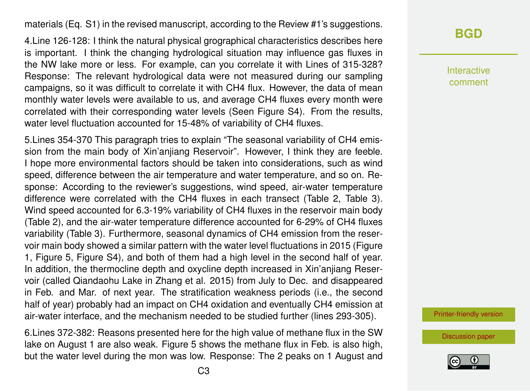materials (Eq. S1) in the revised manuscript, according to the Review #1's suggestions.

4.Line 126-128: I think the natural physical grographical characteristics describes here is important. I think the changing hydrological situation may influence gas fluxes in the NW lake more or less. For example, can you correlate it with Lines of 315-328? Response: The relevant hydrological data were not measured during our sampling campaigns, so it was difficult to correlate it with CH4 flux. However, the data of mean monthly water levels were available to us, and average CH4 fluxes every month were correlated with their corresponding water levels (Seen Figure S4). From the results, water level fluctuation accounted for 15-48% of variability of CH4 fluxes.

5.Lines 354-370 This paragraph tries to explain "The seasonal variability of CH4 emission from the main body of Xin'anjiang Reservoir". However, I think they are feeble. I hope more environmental factors should be taken into considerations, such as wind speed, difference between the air temperature and water temperature, and so on. Response: According to the reviewer's suggestions, wind speed, air-water temperature difference were correlated with the CH4 fluxes in each transect (Table 2, Table 3). Wind speed accounted for 6.3-19% variability of CH4 fluxes in the reservoir main body (Table 2), and the air-water temperature difference accounted for 6-29% of CH4 fluxes variability (Table 3). Furthermore, seasonal dynamics of CH4 emission from the reservoir main body showed a similar pattern with the water level fluctuations in 2015 (Figure 1, Figure 5, Figure S4), and both of them had a high level in the second half of year. In addition, the thermocline depth and oxycline depth increased in Xin'anjiang Reservoir (called Qiandaohu Lake in Zhang et al. 2015) from July to Dec. and disappeared in Feb. and Mar. of next year. The stratification weakness periods (i.e., the second half of year) probably had an impact on CH4 oxidation and eventually CH4 emission at air-water interface, and the mechanism needed to be studied further (lines 293-305).

6.Lines 372-382: Reasons presented here for the high value of methane flux in the SW lake on August 1 are also weak. Figure 5 shows the methane flux in Feb. is also high, but the water level during the mon was low. Response: The 2 peaks on 1 August and Interactive comment

[Printer-friendly version](https://www.biogeosciences-discuss.net/bg-2018-195/bg-2018-195-AC2-print.pdf)